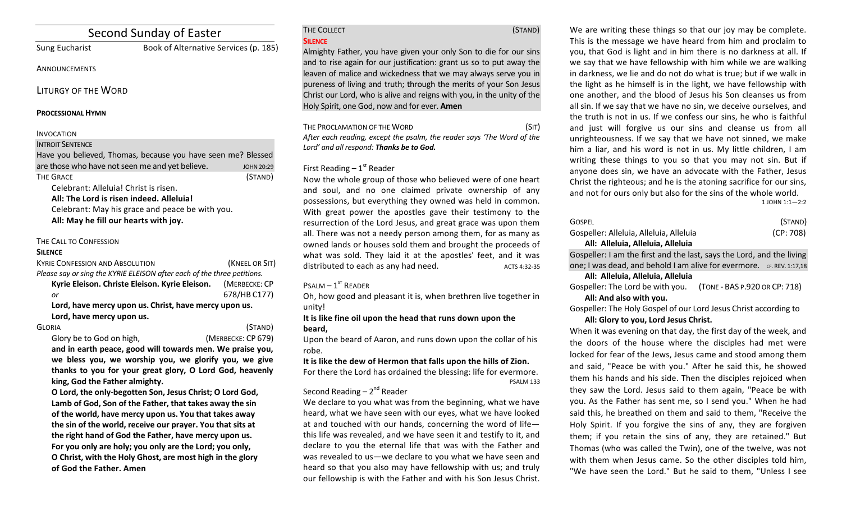# Second Sunday of Easter

# Sung Eucharist Book of Alternative Services (p. 185)

**ANNOUNCEMENTS** 

LITURGY OF THE WORD

# **PROCESSIONAL HYMN**

# INVOCATION

# **INTROIT SENTENCE**

| Have you believed, Thomas, because you have seen me? Blessed |                   |
|--------------------------------------------------------------|-------------------|
| are those who have not seen me and yet believe.              | <b>JOHN 20:29</b> |
| THE GRACE                                                    | (STAND)           |
| Calabuante Allahial Chuistic vicen                           |                   |

Celebrant: Alleluia! Christ is risen. All: The Lord is risen indeed. Alleluia!

Celebrant: May his grace and peace be with you. All: May he fill our hearts with joy.

# THE CALL TO CONFESSION

# **SILENCE**

| <b>KYRIE CONFESSION AND ABSOLUTION</b>                                  | (KNEEL OR SIT) |  |  |  |
|-------------------------------------------------------------------------|----------------|--|--|--|
| Please say or sing the KYRIE ELEISON after each of the three petitions. |                |  |  |  |
| Kyrie Eleison. Christe Eleison. Kyrie Eleison.                          | (MERBECKE: CP  |  |  |  |
| or                                                                      | 678/HB C177)   |  |  |  |
| Lord, have mercy upon us. Christ, have mercy upon us.                   |                |  |  |  |
| Lord, have mercy upon us.                                               |                |  |  |  |

# GLORIA (STAND)

Glory be to God on high, *(MERBECKE: CP 679)* and in earth peace, good will towards men. We praise vou. we bless you, we worship you, we glorify you, we give thanks to you for your great glory, O Lord God, heavenly king, God the Father almighty.

O Lord, the only-begotten Son, Jesus Christ; O Lord God, Lamb of God, Son of the Father, that takes away the sin of the world, have mercy upon us. You that takes away the sin of the world, receive our prayer. You that sits at the right hand of God the Father, have mercy upon us. For you only are holy; you only are the Lord; you only, **O** Christ, with the Holy Ghost, are most high in the glory **of God the Father. Amen**

#### THE COLLECT (STAND) **SILENCE**

Almighty Father, you have given your only Son to die for our sins and to rise again for our justification: grant us so to put away the leaven of malice and wickedness that we may always serve you in pureness of living and truth; through the merits of your Son Jesus Christ our Lord, who is alive and reigns with you, in the unity of the Holy Spirit, one God, now and for ever. **Amen** 

THE PROCLAMATION OF THE WORD (SIT) After each reading, except the psalm, the reader says 'The Word of the Lord' and all respond: Thanks be to God.

# First Reading  $-1<sup>st</sup>$  Reader

Now the whole group of those who believed were of one heart and soul, and no one claimed private ownership of any possessions, but everything they owned was held in common. With great power the apostles gave their testimony to the resurrection of the Lord Jesus, and great grace was upon them all. There was not a needy person among them, for as many as owned lands or houses sold them and brought the proceeds of what was sold. They laid it at the apostles' feet, and it was distributed to each as any had need. AcTS 4:32-35

# $P$ SALM  $-1$ <sup>ST</sup> READER

Oh, how good and pleasant it is, when brethren live together in unity!

# It is like fine oil upon the head that runs down upon the **beard,**

Upon the beard of Aaron, and runs down upon the collar of his robe.

It is like the dew of Hermon that falls upon the hills of Zion. For there the Lord has ordained the blessing: life for evermore. PSALM 133

# Second Reading  $- 2<sup>nd</sup>$  Reader

We declare to you what was from the beginning, what we have heard, what we have seen with our eyes, what we have looked at and touched with our hands, concerning the word of lifethis life was revealed, and we have seen it and testify to it, and declare to you the eternal life that was with the Father and was revealed to us-we declare to you what we have seen and heard so that you also may have fellowship with us; and truly our fellowship is with the Father and with his Son Jesus Christ.

We are writing these things so that our joy may be complete. This is the message we have heard from him and proclaim to you, that God is light and in him there is no darkness at all. If we say that we have fellowship with him while we are walking in darkness, we lie and do not do what is true; but if we walk in the light as he himself is in the light, we have fellowship with one another, and the blood of Jesus his Son cleanses us from all sin. If we say that we have no sin, we deceive ourselves, and the truth is not in us. If we confess our sins, he who is faithful and just will forgive us our sins and cleanse us from all unrighteousness. If we say that we have not sinned, we make him a liar, and his word is not in us. My little children, I am writing these things to you so that you may not sin. But if anyone does sin, we have an advocate with the Father, Jesus Christ the righteous; and he is the atoning sacrifice for our sins, and not for ours only but also for the sins of the whole world.  $1$  JOHN  $1:1-2:2$ 

| GOSPEL                                                                | (STAND)   |
|-----------------------------------------------------------------------|-----------|
| Gospeller: Alleluia, Alleluia, Alleluia                               | (CP: 708) |
| All: Alleluia, Alleluia, Alleluia                                     |           |
| Gospeller: I am the first and the last, says the Lord, and the living |           |
| one; I was dead, and behold I am alive for evermore. CF. REV. 1:17,18 |           |
| All: Alleluia, Alleluia, Alleluia                                     |           |
| Gospeller: The Lord be with you. (TONE - BAS P.920 OR CP: 718)        |           |
| All: And also with you.                                               |           |

Gospeller: The Holy Gospel of our Lord Jesus Christ according to All: Glory to you, Lord Jesus Christ.

When it was evening on that day, the first day of the week, and the doors of the house where the disciples had met were locked for fear of the Jews, Jesus came and stood among them and said, "Peace be with you." After he said this, he showed them his hands and his side. Then the disciples rejoiced when they saw the Lord. Jesus said to them again, "Peace be with you. As the Father has sent me, so I send you." When he had said this, he breathed on them and said to them, "Receive the Holy Spirit. If you forgive the sins of any, they are forgiven them; if you retain the sins of any, they are retained." But Thomas (who was called the Twin), one of the twelve, was not with them when Jesus came. So the other disciples told him, "We have seen the Lord." But he said to them. "Unless I see